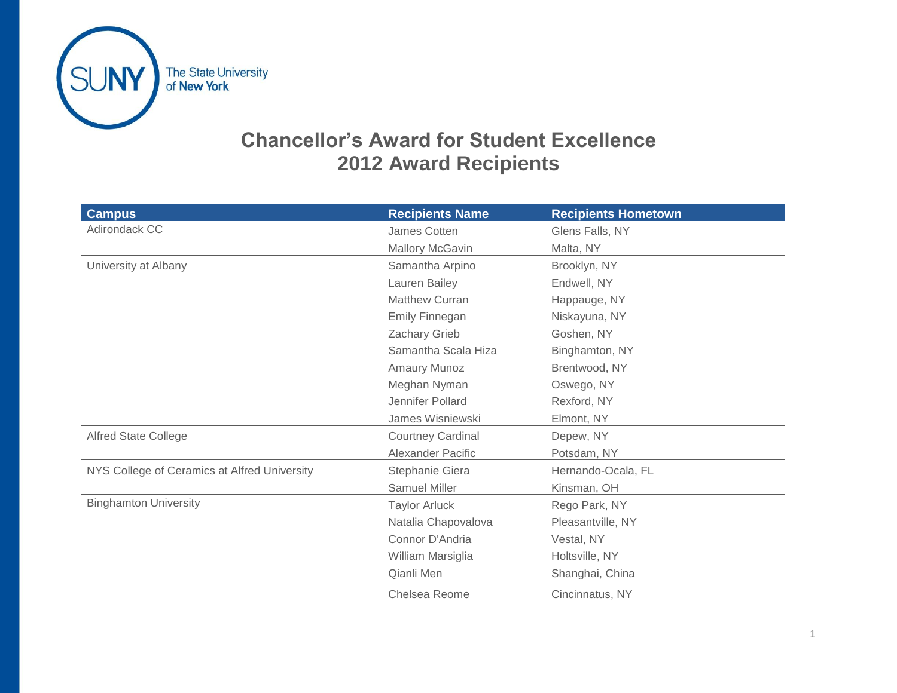

## **Chancellor's Award for Student Excellence 2012 Award Recipients**

| <b>Campus</b>                                | <b>Recipients Name</b>   | <b>Recipients Hometown</b> |
|----------------------------------------------|--------------------------|----------------------------|
| Adirondack CC                                | James Cotten             | Glens Falls, NY            |
|                                              | Mallory McGavin          | Malta, NY                  |
| University at Albany                         | Samantha Arpino          | Brooklyn, NY               |
|                                              | Lauren Bailey            | Endwell, NY                |
|                                              | <b>Matthew Curran</b>    | Happauge, NY               |
|                                              | <b>Emily Finnegan</b>    | Niskayuna, NY              |
|                                              | Zachary Grieb            | Goshen, NY                 |
|                                              | Samantha Scala Hiza      | Binghamton, NY             |
|                                              | Amaury Munoz             | Brentwood, NY              |
|                                              | Meghan Nyman             | Oswego, NY                 |
|                                              | Jennifer Pollard         | Rexford, NY                |
|                                              | James Wisniewski         | Elmont, NY                 |
| <b>Alfred State College</b>                  | <b>Courtney Cardinal</b> | Depew, NY                  |
|                                              | Alexander Pacific        | Potsdam, NY                |
| NYS College of Ceramics at Alfred University | Stephanie Giera          | Hernando-Ocala, FL         |
|                                              | <b>Samuel Miller</b>     | Kinsman, OH                |
| <b>Binghamton University</b>                 | <b>Taylor Arluck</b>     | Rego Park, NY              |
|                                              | Natalia Chapovalova      | Pleasantville, NY          |
|                                              | Connor D'Andria          | Vestal, NY                 |
|                                              | William Marsiglia        | Holtsville, NY             |
|                                              | Qianli Men               | Shanghai, China            |
|                                              | Chelsea Reome            | Cincinnatus, NY            |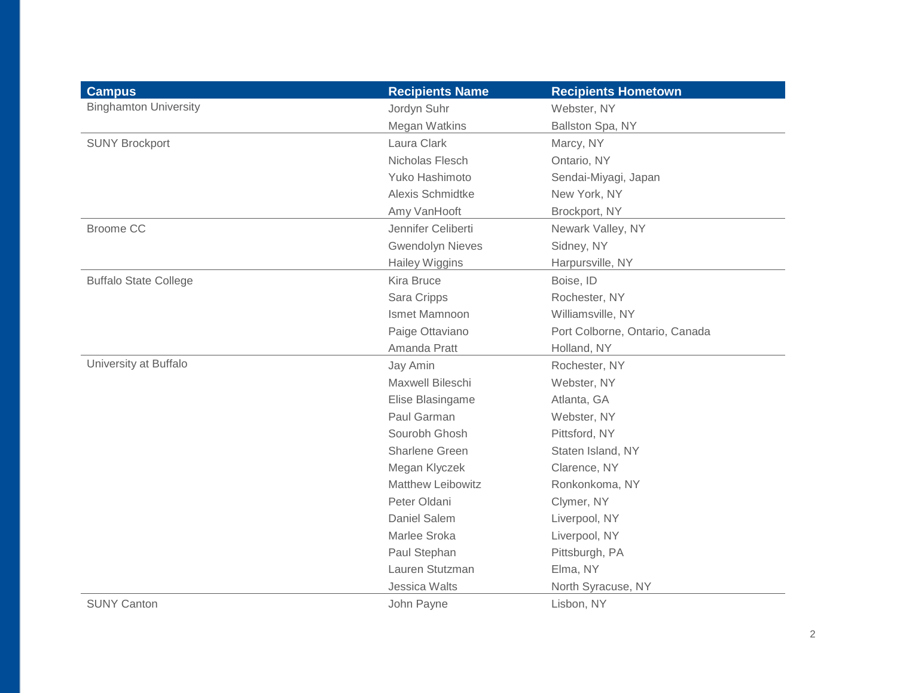| <b>Campus</b>                | <b>Recipients Name</b>   | <b>Recipients Hometown</b>     |
|------------------------------|--------------------------|--------------------------------|
| <b>Binghamton University</b> | Jordyn Suhr              | Webster, NY                    |
|                              | Megan Watkins            | Ballston Spa, NY               |
| <b>SUNY Brockport</b>        | Laura Clark              | Marcy, NY                      |
|                              | Nicholas Flesch          | Ontario, NY                    |
|                              | Yuko Hashimoto           | Sendai-Miyagi, Japan           |
|                              | Alexis Schmidtke         | New York, NY                   |
|                              | Amy VanHooft             | Brockport, NY                  |
| <b>Broome CC</b>             | Jennifer Celiberti       | Newark Valley, NY              |
|                              | <b>Gwendolyn Nieves</b>  | Sidney, NY                     |
|                              | <b>Hailey Wiggins</b>    | Harpursville, NY               |
| <b>Buffalo State College</b> | Kira Bruce               | Boise, ID                      |
|                              | Sara Cripps              | Rochester, NY                  |
|                              | Ismet Mamnoon            | Williamsville, NY              |
|                              | Paige Ottaviano          | Port Colborne, Ontario, Canada |
|                              | Amanda Pratt             | Holland, NY                    |
| University at Buffalo        | Jay Amin                 | Rochester, NY                  |
|                              | Maxwell Bileschi         | Webster, NY                    |
|                              | Elise Blasingame         | Atlanta, GA                    |
|                              | Paul Garman              | Webster, NY                    |
|                              | Sourobh Ghosh            | Pittsford, NY                  |
|                              | Sharlene Green           | Staten Island, NY              |
|                              | Megan Klyczek            | Clarence, NY                   |
|                              | <b>Matthew Leibowitz</b> | Ronkonkoma, NY                 |
|                              | Peter Oldani             | Clymer, NY                     |
|                              | <b>Daniel Salem</b>      | Liverpool, NY                  |
|                              | Marlee Sroka             | Liverpool, NY                  |
|                              | Paul Stephan             | Pittsburgh, PA                 |
|                              | Lauren Stutzman          | Elma, NY                       |
|                              | Jessica Walts            | North Syracuse, NY             |
| <b>SUNY Canton</b>           | John Payne               | Lisbon, NY                     |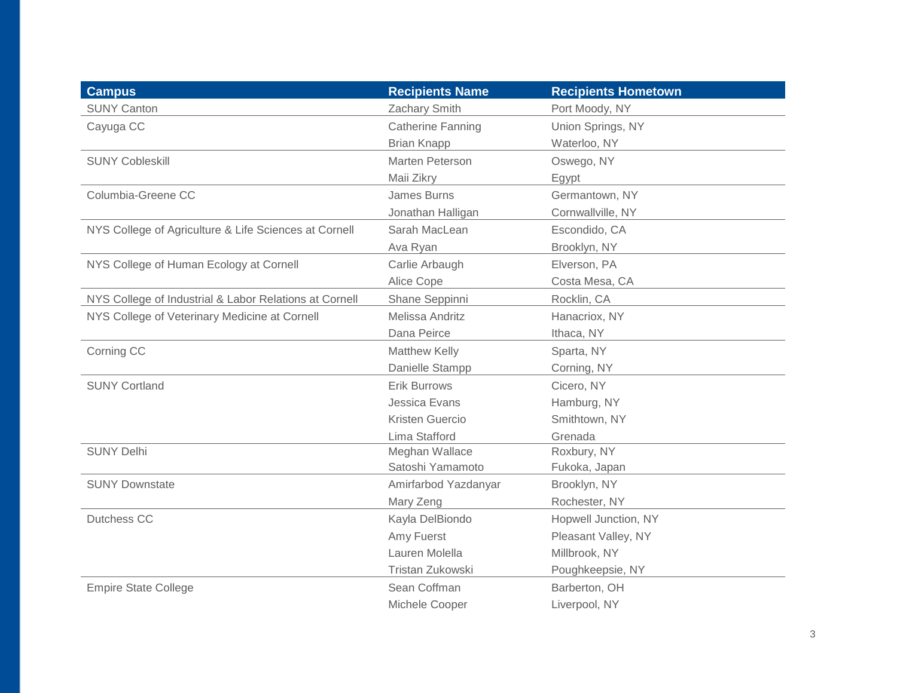| <b>Campus</b>                                          | <b>Recipients Name</b>   | <b>Recipients Hometown</b> |
|--------------------------------------------------------|--------------------------|----------------------------|
| <b>SUNY Canton</b>                                     | Zachary Smith            | Port Moody, NY             |
| Cayuga CC                                              | <b>Catherine Fanning</b> | Union Springs, NY          |
|                                                        | <b>Brian Knapp</b>       | Waterloo, NY               |
| <b>SUNY Cobleskill</b>                                 | Marten Peterson          | Oswego, NY                 |
|                                                        | Maii Zikry               | Egypt                      |
| Columbia-Greene CC                                     | James Burns              | Germantown, NY             |
|                                                        | Jonathan Halligan        | Cornwallville, NY          |
| NYS College of Agriculture & Life Sciences at Cornell  | Sarah MacLean            | Escondido, CA              |
|                                                        | Ava Ryan                 | Brooklyn, NY               |
| NYS College of Human Ecology at Cornell                | Carlie Arbaugh           | Elverson, PA               |
|                                                        | Alice Cope               | Costa Mesa, CA             |
| NYS College of Industrial & Labor Relations at Cornell | Shane Seppinni           | Rocklin, CA                |
| NYS College of Veterinary Medicine at Cornell          | Melissa Andritz          | Hanacriox, NY              |
|                                                        | Dana Peirce              | Ithaca, NY                 |
| Corning CC                                             | Matthew Kelly            | Sparta, NY                 |
|                                                        | Danielle Stampp          | Corning, NY                |
| <b>SUNY Cortland</b>                                   | <b>Erik Burrows</b>      | Cicero, NY                 |
|                                                        | Jessica Evans            | Hamburg, NY                |
|                                                        | <b>Kristen Guercio</b>   | Smithtown, NY              |
|                                                        | Lima Stafford            | Grenada                    |
| <b>SUNY Delhi</b>                                      | Meghan Wallace           | Roxbury, NY                |
|                                                        | Satoshi Yamamoto         | Fukoka, Japan              |
| <b>SUNY Downstate</b>                                  | Amirfarbod Yazdanyar     | Brooklyn, NY               |
|                                                        | Mary Zeng                | Rochester, NY              |
| Dutchess CC                                            | Kayla DelBiondo          | Hopwell Junction, NY       |
|                                                        | Amy Fuerst               | Pleasant Valley, NY        |
|                                                        | Lauren Molella           | Millbrook, NY              |
|                                                        | Tristan Zukowski         | Poughkeepsie, NY           |
| <b>Empire State College</b>                            | Sean Coffman             | Barberton, OH              |
|                                                        | Michele Cooper           | Liverpool, NY              |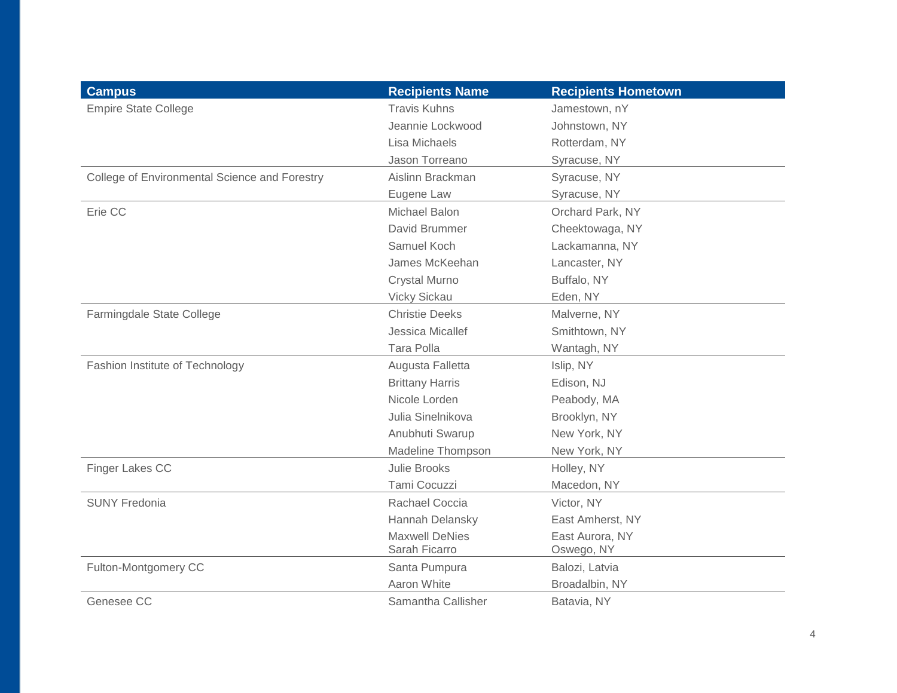| <b>Campus</b>                                 | <b>Recipients Name</b> | <b>Recipients Hometown</b> |
|-----------------------------------------------|------------------------|----------------------------|
| <b>Empire State College</b>                   | <b>Travis Kuhns</b>    | Jamestown, nY              |
|                                               | Jeannie Lockwood       | Johnstown, NY              |
|                                               | Lisa Michaels          | Rotterdam, NY              |
|                                               | Jason Torreano         | Syracuse, NY               |
| College of Environmental Science and Forestry | Aislinn Brackman       | Syracuse, NY               |
|                                               | Eugene Law             | Syracuse, NY               |
| Erie CC                                       | <b>Michael Balon</b>   | Orchard Park, NY           |
|                                               | David Brummer          | Cheektowaga, NY            |
|                                               | Samuel Koch            | Lackamanna, NY             |
|                                               | James McKeehan         | Lancaster, NY              |
|                                               | <b>Crystal Murno</b>   | Buffalo, NY                |
|                                               | Vicky Sickau           | Eden, NY                   |
| Farmingdale State College                     | <b>Christie Deeks</b>  | Malverne, NY               |
|                                               | Jessica Micallef       | Smithtown, NY              |
|                                               | <b>Tara Polla</b>      | Wantagh, NY                |
| Fashion Institute of Technology               | Augusta Falletta       | Islip, NY                  |
|                                               | <b>Brittany Harris</b> | Edison, NJ                 |
|                                               | Nicole Lorden          | Peabody, MA                |
|                                               | Julia Sinelnikova      | Brooklyn, NY               |
|                                               | Anubhuti Swarup        | New York, NY               |
|                                               | Madeline Thompson      | New York, NY               |
| Finger Lakes CC                               | <b>Julie Brooks</b>    | Holley, NY                 |
|                                               | Tami Cocuzzi           | Macedon, NY                |
| <b>SUNY Fredonia</b>                          | Rachael Coccia         | Victor, NY                 |
|                                               | Hannah Delansky        | East Amherst, NY           |
|                                               | <b>Maxwell DeNies</b>  | East Aurora, NY            |
|                                               | Sarah Ficarro          | Oswego, NY                 |
| Fulton-Montgomery CC                          | Santa Pumpura          | Balozi, Latvia             |
|                                               | Aaron White            | Broadalbin, NY             |
| Genesee CC                                    | Samantha Callisher     | Batavia, NY                |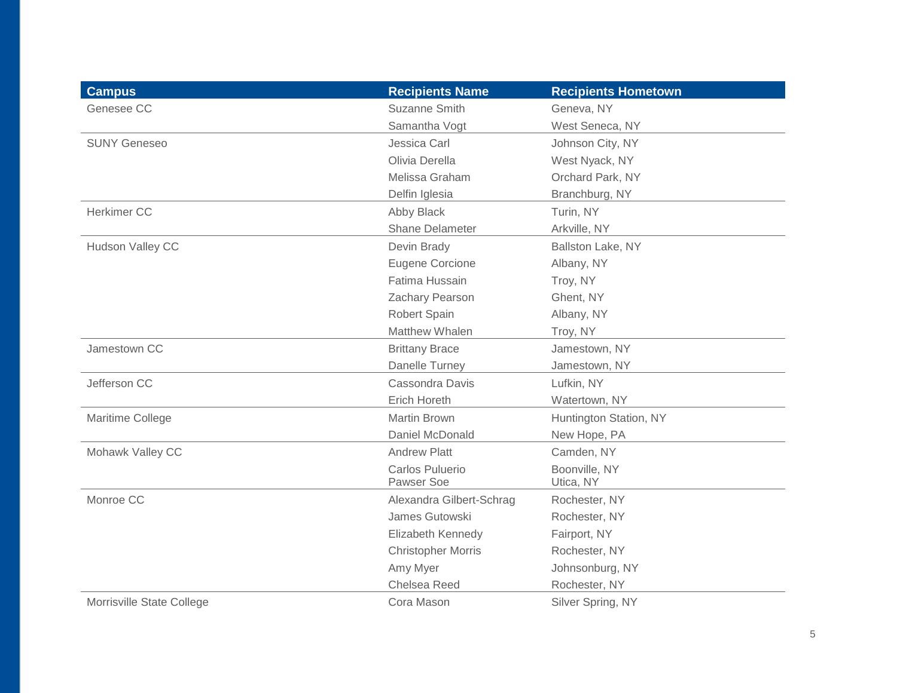| <b>Campus</b>             | <b>Recipients Name</b>    | <b>Recipients Hometown</b> |
|---------------------------|---------------------------|----------------------------|
| Genesee CC                | Suzanne Smith             | Geneva, NY                 |
|                           | Samantha Vogt             | West Seneca, NY            |
| <b>SUNY Geneseo</b>       | Jessica Carl              | Johnson City, NY           |
|                           | Olivia Derella            | West Nyack, NY             |
|                           | Melissa Graham            | Orchard Park, NY           |
|                           | Delfin Iglesia            | Branchburg, NY             |
| Herkimer CC               | Abby Black                | Turin, NY                  |
|                           | <b>Shane Delameter</b>    | Arkville, NY               |
| Hudson Valley CC          | Devin Brady               | Ballston Lake, NY          |
|                           | <b>Eugene Corcione</b>    | Albany, NY                 |
|                           | Fatima Hussain            | Troy, NY                   |
|                           | Zachary Pearson           | Ghent, NY                  |
|                           | Robert Spain              | Albany, NY                 |
|                           | Matthew Whalen            | Troy, NY                   |
| Jamestown CC              | <b>Brittany Brace</b>     | Jamestown, NY              |
|                           | Danelle Turney            | Jamestown, NY              |
| Jefferson CC              | Cassondra Davis           | Lufkin, NY                 |
|                           | <b>Erich Horeth</b>       | Watertown, NY              |
| Maritime College          | <b>Martin Brown</b>       | Huntington Station, NY     |
|                           | Daniel McDonald           | New Hope, PA               |
| Mohawk Valley CC          | <b>Andrew Platt</b>       | Camden, NY                 |
|                           | Carlos Puluerio           | Boonville, NY              |
|                           | Pawser Soe                | Utica, NY                  |
| Monroe CC                 | Alexandra Gilbert-Schrag  | Rochester, NY              |
|                           | James Gutowski            | Rochester, NY              |
|                           | Elizabeth Kennedy         | Fairport, NY               |
|                           | <b>Christopher Morris</b> | Rochester, NY              |
|                           | Amy Myer                  | Johnsonburg, NY            |
|                           | Chelsea Reed              | Rochester, NY              |
| Morrisville State College | Cora Mason                | Silver Spring, NY          |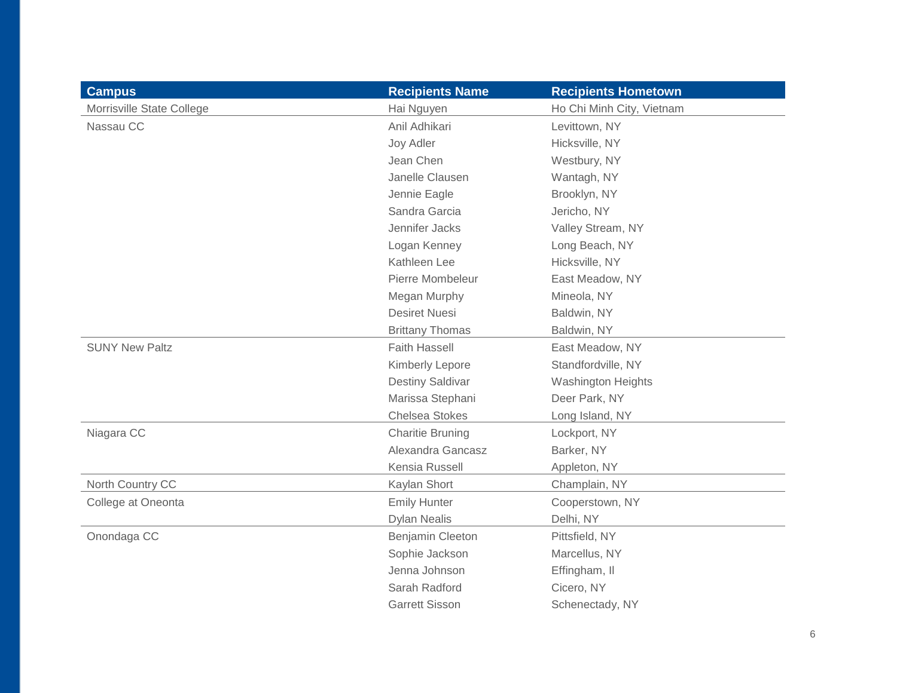| <b>Campus</b>             | <b>Recipients Name</b>  | <b>Recipients Hometown</b> |
|---------------------------|-------------------------|----------------------------|
| Morrisville State College | Hai Nguyen              | Ho Chi Minh City, Vietnam  |
| Nassau CC                 | Anil Adhikari           | Levittown, NY              |
|                           | Joy Adler               | Hicksville, NY             |
|                           | Jean Chen               | Westbury, NY               |
|                           | Janelle Clausen         | Wantagh, NY                |
|                           | Jennie Eagle            | Brooklyn, NY               |
|                           | Sandra Garcia           | Jericho, NY                |
|                           | Jennifer Jacks          | Valley Stream, NY          |
|                           | Logan Kenney            | Long Beach, NY             |
|                           | Kathleen Lee            | Hicksville, NY             |
|                           | Pierre Mombeleur        | East Meadow, NY            |
|                           | Megan Murphy            | Mineola, NY                |
|                           | <b>Desiret Nuesi</b>    | Baldwin, NY                |
|                           | <b>Brittany Thomas</b>  | Baldwin, NY                |
| <b>SUNY New Paltz</b>     | <b>Faith Hassell</b>    | East Meadow, NY            |
|                           | Kimberly Lepore         | Standfordville, NY         |
|                           | <b>Destiny Saldivar</b> | <b>Washington Heights</b>  |
|                           | Marissa Stephani        | Deer Park, NY              |
|                           | <b>Chelsea Stokes</b>   | Long Island, NY            |
| Niagara CC                | <b>Charitie Bruning</b> | Lockport, NY               |
|                           | Alexandra Gancasz       | Barker, NY                 |
|                           | Kensia Russell          | Appleton, NY               |
| North Country CC          | Kaylan Short            | Champlain, NY              |
| College at Oneonta        | <b>Emily Hunter</b>     | Cooperstown, NY            |
|                           | <b>Dylan Nealis</b>     | Delhi, NY                  |
| Onondaga CC               | Benjamin Cleeton        | Pittsfield, NY             |
|                           | Sophie Jackson          | Marcellus, NY              |
|                           | Jenna Johnson           | Effingham, II              |
|                           | Sarah Radford           | Cicero, NY                 |
|                           | <b>Garrett Sisson</b>   | Schenectady, NY            |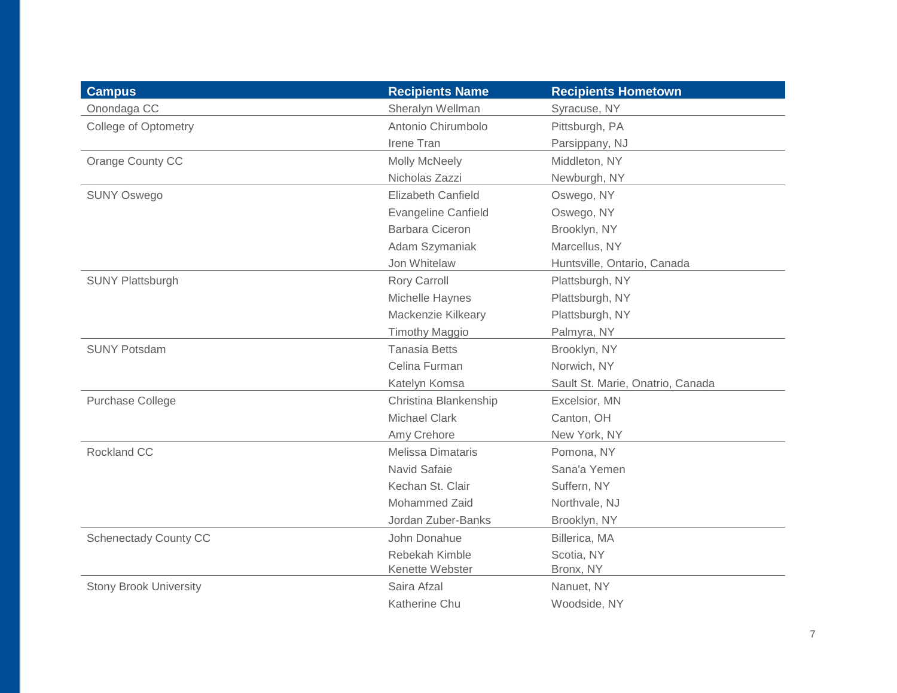| <b>Campus</b>                 | <b>Recipients Name</b>     | <b>Recipients Hometown</b>       |
|-------------------------------|----------------------------|----------------------------------|
| Onondaga CC                   | Sheralyn Wellman           | Syracuse, NY                     |
| <b>College of Optometry</b>   | Antonio Chirumbolo         | Pittsburgh, PA                   |
|                               | Irene Tran                 | Parsippany, NJ                   |
| Orange County CC              | Molly McNeely              | Middleton, NY                    |
|                               | Nicholas Zazzi             | Newburgh, NY                     |
| <b>SUNY Oswego</b>            | Elizabeth Canfield         | Oswego, NY                       |
|                               | <b>Evangeline Canfield</b> | Oswego, NY                       |
|                               | <b>Barbara Ciceron</b>     | Brooklyn, NY                     |
|                               | Adam Szymaniak             | Marcellus, NY                    |
|                               | Jon Whitelaw               | Huntsville, Ontario, Canada      |
| <b>SUNY Plattsburgh</b>       | <b>Rory Carroll</b>        | Plattsburgh, NY                  |
|                               | Michelle Haynes            | Plattsburgh, NY                  |
|                               | Mackenzie Kilkeary         | Plattsburgh, NY                  |
|                               | <b>Timothy Maggio</b>      | Palmyra, NY                      |
| <b>SUNY Potsdam</b>           | <b>Tanasia Betts</b>       | Brooklyn, NY                     |
|                               | Celina Furman              | Norwich, NY                      |
|                               | Katelyn Komsa              | Sault St. Marie, Onatrio, Canada |
| Purchase College              | Christina Blankenship      | Excelsior, MN                    |
|                               | <b>Michael Clark</b>       | Canton, OH                       |
|                               | Amy Crehore                | New York, NY                     |
| Rockland CC                   | <b>Melissa Dimataris</b>   | Pomona, NY                       |
|                               | Navid Safaie               | Sana'a Yemen                     |
|                               | Kechan St. Clair           | Suffern, NY                      |
|                               | Mohammed Zaid              | Northvale, NJ                    |
|                               | Jordan Zuber-Banks         | Brooklyn, NY                     |
| <b>Schenectady County CC</b>  | John Donahue               | Billerica, MA                    |
|                               | Rebekah Kimble             | Scotia, NY                       |
|                               | Kenette Webster            | Bronx, NY                        |
| <b>Stony Brook University</b> | Saira Afzal                | Nanuet, NY                       |
|                               | Katherine Chu              | Woodside, NY                     |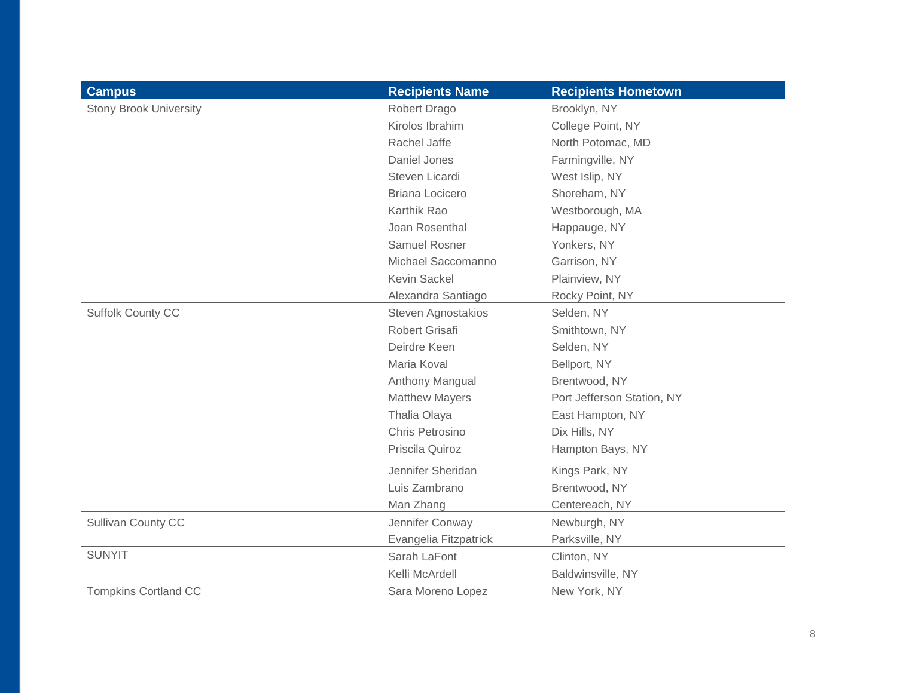| <b>Campus</b>                 | <b>Recipients Name</b> | <b>Recipients Hometown</b> |
|-------------------------------|------------------------|----------------------------|
| <b>Stony Brook University</b> | Robert Drago           | Brooklyn, NY               |
|                               | Kirolos Ibrahim        | College Point, NY          |
|                               | Rachel Jaffe           | North Potomac, MD          |
|                               | Daniel Jones           | Farmingville, NY           |
|                               | Steven Licardi         | West Islip, NY             |
|                               | <b>Briana Locicero</b> | Shoreham, NY               |
|                               | Karthik Rao            | Westborough, MA            |
|                               | Joan Rosenthal         | Happauge, NY               |
|                               | Samuel Rosner          | Yonkers, NY                |
|                               | Michael Saccomanno     | Garrison, NY               |
|                               | Kevin Sackel           | Plainview, NY              |
|                               | Alexandra Santiago     | Rocky Point, NY            |
| <b>Suffolk County CC</b>      | Steven Agnostakios     | Selden, NY                 |
|                               | Robert Grisafi         | Smithtown, NY              |
|                               | Deirdre Keen           | Selden, NY                 |
|                               | Maria Koval            | Bellport, NY               |
|                               | Anthony Mangual        | Brentwood, NY              |
|                               | <b>Matthew Mayers</b>  | Port Jefferson Station, NY |
|                               | Thalia Olaya           | East Hampton, NY           |
|                               | Chris Petrosino        | Dix Hills, NY              |
|                               | Priscila Quiroz        | Hampton Bays, NY           |
|                               | Jennifer Sheridan      | Kings Park, NY             |
|                               | Luis Zambrano          | Brentwood, NY              |
|                               | Man Zhang              | Centereach, NY             |
| Sullivan County CC            | Jennifer Conway        | Newburgh, NY               |
|                               | Evangelia Fitzpatrick  | Parksville, NY             |
| <b>SUNYIT</b>                 | Sarah LaFont           | Clinton, NY                |
|                               | Kelli McArdell         | Baldwinsville, NY          |
| <b>Tompkins Cortland CC</b>   | Sara Moreno Lopez      | New York, NY               |